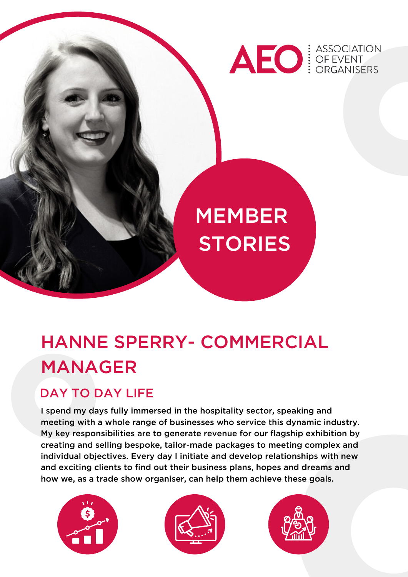

# MEMBER **STORIES**

# HANNE SPERRY- COMMERCIAL MANAGER

## DAY TO DAY LIFE

I spend my days fully immersed in the hospitality sector, speaking and meeting with a whole range of businesses who service this dynamic industry. My key responsibilities are to generate revenue for our flagship exhibition by creating and selling bespoke, tailor-made packages to meeting complex and individual objectives. Every day I initiate and develop relationships with new and exciting clients to find out their business plans, hopes and dreams and how we, as a trade show organiser, can help them achieve these goals.